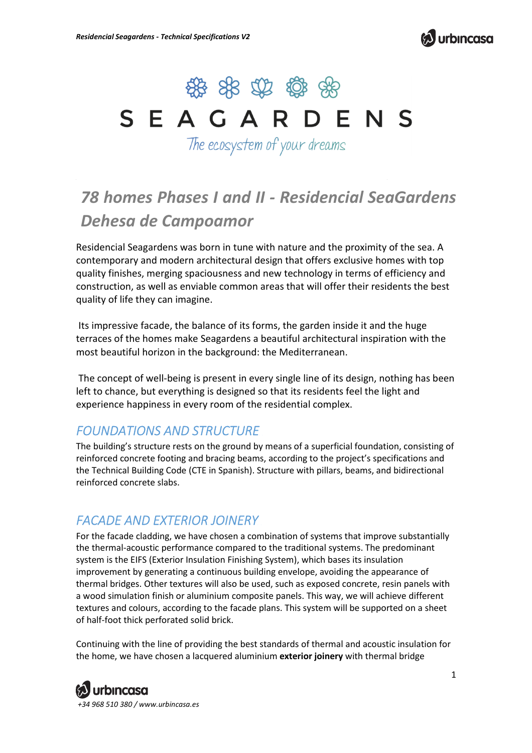



# SEAGARDENS

The ecosystem of your dreams

# *78 homes Phases I and II - Residencial SeaGardens Dehesa de Campoamor*

Residencial Seagardens was born in tune with nature and the proximity of the sea. A contemporary and modern architectural design that offers exclusive homes with top quality finishes, merging spaciousness and new technology in terms of efficiency and construction, as well as enviable common areas that will offer their residents the best quality of life they can imagine.

 Its impressive facade, the balance of its forms, the garden inside it and the huge terraces of the homes make Seagardens a beautiful architectural inspiration with the most beautiful horizon in the background: the Mediterranean.

 The concept of well-being is present in every single line of its design, nothing has been left to chance, but everything is designed so that its residents feel the light and experience happiness in every room of the residential complex.

# *FOUNDATIONS AND STRUCTURE*

The building's structure rests on the ground by means of a superficial foundation, consisting of reinforced concrete footing and bracing beams, according to the project's specifications and the Technical Building Code (CTE in Spanish). Structure with pillars, beams, and bidirectional reinforced concrete slabs.

#### *FACADE AND EXTERIOR JOINERY*

For the facade cladding, we have chosen a combination of systems that improve substantially the thermal-acoustic performance compared to the traditional systems. The predominant system is the EIFS (Exterior Insulation Finishing System), which bases its insulation improvement by generating a continuous building envelope, avoiding the appearance of thermal bridges. Other textures will also be used, such as exposed concrete, resin panels with a wood simulation finish or aluminium composite panels. This way, we will achieve different textures and colours, according to the facade plans. This system will be supported on a sheet of half-foot thick perforated solid brick.

Continuing with the line of providing the best standards of thermal and acoustic insulation for the home, we have chosen a lacquered aluminium **exterior joinery** with thermal bridge

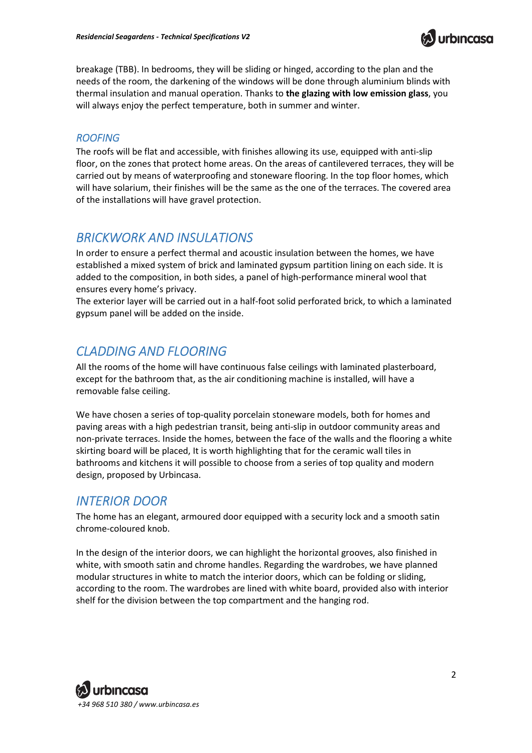

breakage (TBB). In bedrooms, they will be sliding or hinged, according to the plan and the needs of the room, the darkening of the windows will be done through aluminium blinds with thermal insulation and manual operation. Thanks to **the glazing with low emission glass**, you will always enjoy the perfect temperature, both in summer and winter.

#### *ROOFING*

The roofs will be flat and accessible, with finishes allowing its use, equipped with anti-slip floor, on the zones that protect home areas. On the areas of cantilevered terraces, they will be carried out by means of waterproofing and stoneware flooring. In the top floor homes, which will have solarium, their finishes will be the same as the one of the terraces. The covered area of the installations will have gravel protection.

#### *BRICKWORK AND INSULATIONS*

In order to ensure a perfect thermal and acoustic insulation between the homes, we have established a mixed system of brick and laminated gypsum partition lining on each side. It is added to the composition, in both sides, a panel of high-performance mineral wool that ensures every home's privacy.

The exterior layer will be carried out in a half-foot solid perforated brick, to which a laminated gypsum panel will be added on the inside.

#### *CLADDING AND FLOORING*

All the rooms of the home will have continuous false ceilings with laminated plasterboard, except for the bathroom that, as the air conditioning machine is installed, will have a removable false ceiling.

We have chosen a series of top-quality porcelain stoneware models, both for homes and paving areas with a high pedestrian transit, being anti-slip in outdoor community areas and non-private terraces. Inside the homes, between the face of the walls and the flooring a white skirting board will be placed, It is worth highlighting that for the ceramic wall tiles in bathrooms and kitchens it will possible to choose from a series of top quality and modern design, proposed by Urbincasa.

#### *INTERIOR DOOR*

The home has an elegant, armoured door equipped with a security lock and a smooth satin chrome-coloured knob.

In the design of the interior doors, we can highlight the horizontal grooves, also finished in white, with smooth satin and chrome handles. Regarding the wardrobes, we have planned modular structures in white to match the interior doors, which can be folding or sliding, according to the room. The wardrobes are lined with white board, provided also with interior shelf for the division between the top compartment and the hanging rod.

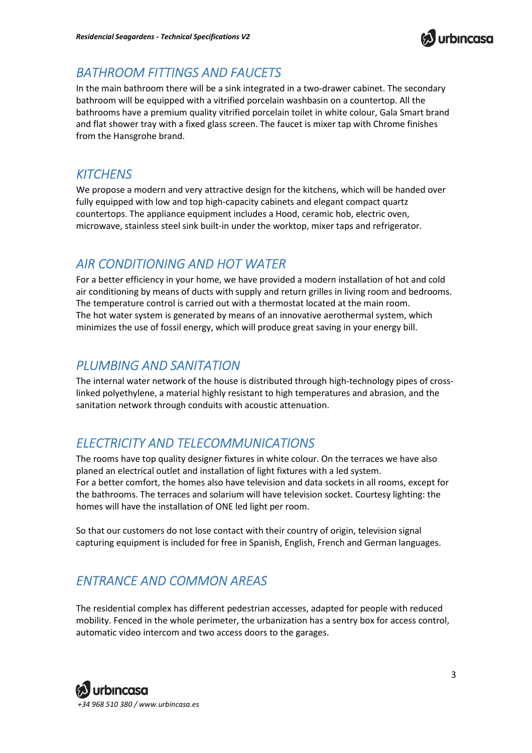

## *BATHROOM FITTINGS AND FAUCETS*

In the main bathroom there will be a sink integrated in a two-drawer cabinet. The secondary bathroom will be equipped with a vitrified porcelain washbasin on a countertop. All the bathrooms have a premium quality vitrified porcelain toilet in white colour, Gala Smart brand and flat shower tray with a fixed glass screen. The faucet is mixer tap with Chrome finishes from the Hansgrohe brand.

#### *KITCHENS*

We propose a modern and very attractive design for the kitchens, which will be handed over fully equipped with low and top high-capacity cabinets and elegant compact quartz countertops. The appliance equipment includes a Hood, ceramic hob, electric oven, microwave, stainless steel sink built-in under the worktop, mixer taps and refrigerator.

### *AIR CONDITIONING AND HOT WATER*

For a better efficiency in your home, we have provided a modern installation of hot and cold air conditioning by means of ducts with supply and return grilles in living room and bedrooms. The temperature control is carried out with a thermostat located at the main room. The hot water system is generated by means of an innovative aerothermal system, which minimizes the use of fossil energy, which will produce great saving in your energy bill.

#### *PLUMBING AND SANITATION*

The internal water network of the house is distributed through high-technology pipes of crosslinked polyethylene, a material highly resistant to high temperatures and abrasion, and the sanitation network through conduits with acoustic attenuation.

# *ELECTRICITY AND TELECOMMUNICATIONS*

The rooms have top quality designer fixtures in white colour. On the terraces we have also planed an electrical outlet and installation of light fixtures with a led system. For a better comfort, the homes also have television and data sockets in all rooms, except for the bathrooms. The terraces and solarium will have television socket. Courtesy lighting: the homes will have the installation of ONE led light per room.

So that our customers do not lose contact with their country of origin, television signal capturing equipment is included for free in Spanish, English, French and German languages.

# *ENTRANCE AND COMMON AREAS*

The residential complex has different pedestrian accesses, adapted for people with reduced mobility. Fenced in the whole perimeter, the urbanization has a sentry box for access control, automatic video intercom and two access doors to the garages.

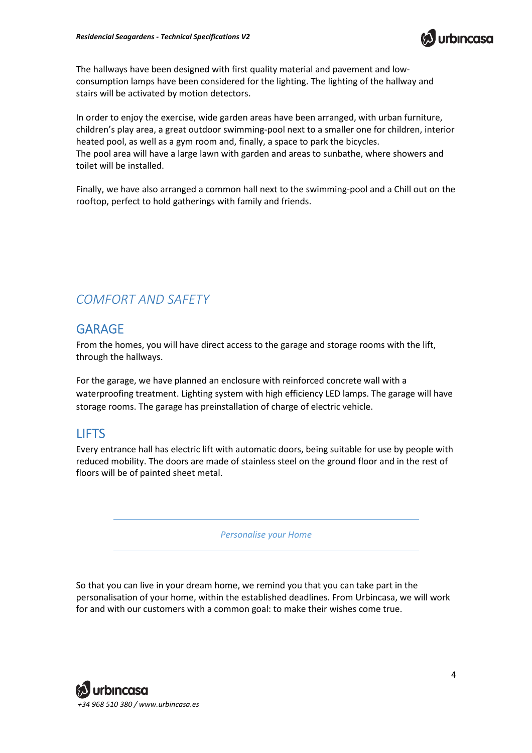

The hallways have been designed with first quality material and pavement and lowconsumption lamps have been considered for the lighting. The lighting of the hallway and stairs will be activated by motion detectors.

In order to enjoy the exercise, wide garden areas have been arranged, with urban furniture, children's play area, a great outdoor swimming-pool next to a smaller one for children, interior heated pool, as well as a gym room and, finally, a space to park the bicycles. The pool area will have a large lawn with garden and areas to sunbathe, where showers and toilet will be installed.

Finally, we have also arranged a common hall next to the swimming-pool and a Chill out on the rooftop, perfect to hold gatherings with family and friends.

#### *COMFORT AND SAFETY*

#### GARAGE

From the homes, you will have direct access to the garage and storage rooms with the lift, through the hallways.

For the garage, we have planned an enclosure with reinforced concrete wall with a waterproofing treatment. Lighting system with high efficiency LED lamps. The garage will have storage rooms. The garage has preinstallation of charge of electric vehicle.

#### LIFTS

Every entrance hall has electric lift with automatic doors, being suitable for use by people with reduced mobility. The doors are made of stainless steel on the ground floor and in the rest of floors will be of painted sheet metal.

*Personalise your Home* 

So that you can live in your dream home, we remind you that you can take part in the personalisation of your home, within the established deadlines. From Urbincasa, we will work for and with our customers with a common goal: to make their wishes come true.